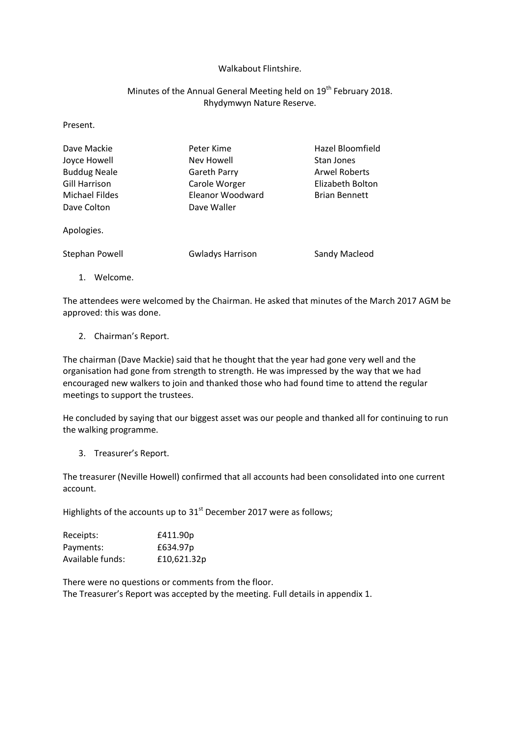## Walkabout Flintshire.

## Minutes of the Annual General Meeting held on 19<sup>th</sup> February 2018. Rhydymwyn Nature Reserve.

Present.

| Dave Mackie           | Peter Kime              | Hazel Bloomfield     |  |
|-----------------------|-------------------------|----------------------|--|
| Joyce Howell          | Nev Howell              | Stan Jones           |  |
| <b>Buddug Neale</b>   | Gareth Parry            | <b>Arwel Roberts</b> |  |
| Gill Harrison         | Carole Worger           | Elizabeth Bolton     |  |
| <b>Michael Fildes</b> | Eleanor Woodward        | <b>Brian Bennett</b> |  |
| Dave Colton           | Dave Waller             |                      |  |
| Apologies.            |                         |                      |  |
| Stephan Powell        | <b>Gwladys Harrison</b> | Sandy Macleod        |  |
|                       |                         |                      |  |

1. Welcome.

The attendees were welcomed by the Chairman. He asked that minutes of the March 2017 AGM be approved: this was done.

2. Chairman's Report.

The chairman (Dave Mackie) said that he thought that the year had gone very well and the organisation had gone from strength to strength. He was impressed by the way that we had encouraged new walkers to join and thanked those who had found time to attend the regular meetings to support the trustees.

He concluded by saying that our biggest asset was our people and thanked all for continuing to run the walking programme.

3. Treasurer's Report.

The treasurer (Neville Howell) confirmed that all accounts had been consolidated into one current account.

Highlights of the accounts up to  $31<sup>st</sup>$  December 2017 were as follows;

| Receipts:        | £411.90p    |
|------------------|-------------|
| Payments:        | £634.97p    |
| Available funds: | £10,621.32p |

There were no questions or comments from the floor. The Treasurer's Report was accepted by the meeting. Full details in appendix 1.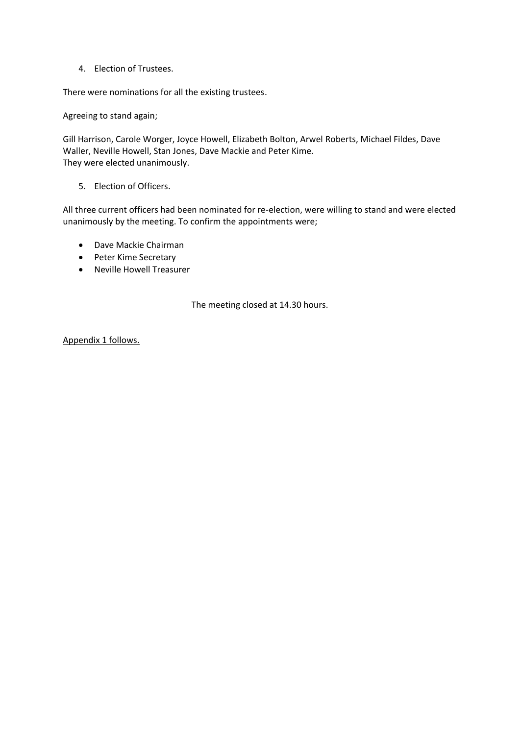4. Election of Trustees.

There were nominations for all the existing trustees.

Agreeing to stand again;

Gill Harrison, Carole Worger, Joyce Howell, Elizabeth Bolton, Arwel Roberts, Michael Fildes, Dave Waller, Neville Howell, Stan Jones, Dave Mackie and Peter Kime. They were elected unanimously.

5. Election of Officers.

All three current officers had been nominated for re-election, were willing to stand and were elected unanimously by the meeting. To confirm the appointments were;

- Dave Mackie Chairman
- Peter Kime Secretary
- Neville Howell Treasurer

The meeting closed at 14.30 hours.

Appendix 1 follows.